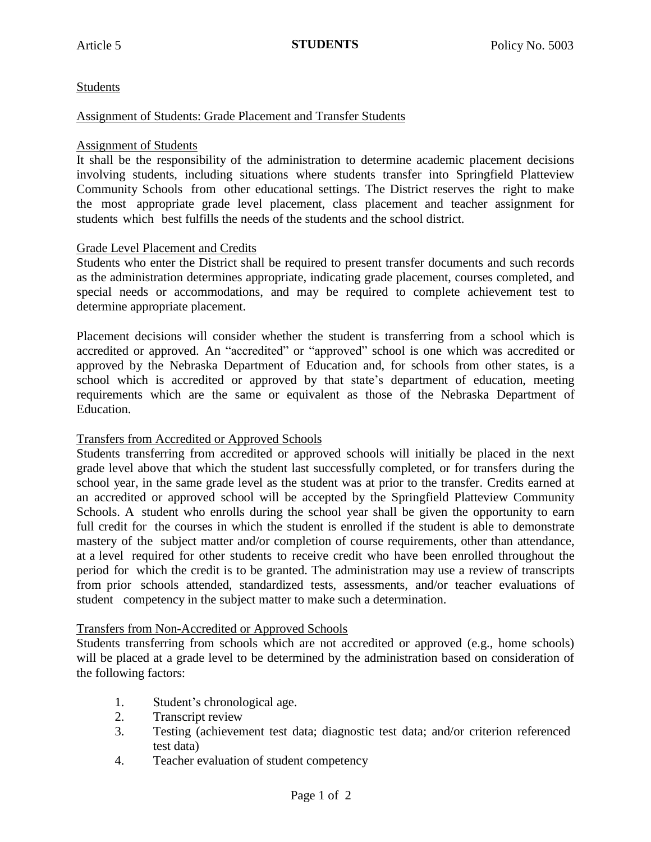# Students

### Assignment of Students: Grade Placement and Transfer Students

### Assignment of Students

It shall be the responsibility of the administration to determine academic placement decisions involving students, including situations where students transfer into Springfield Platteview Community Schools from other educational settings. The District reserves the right to make the most appropriate grade level placement, class placement and teacher assignment for students which best fulfills the needs of the students and the school district.

## Grade Level Placement and Credits

Students who enter the District shall be required to present transfer documents and such records as the administration determines appropriate, indicating grade placement, courses completed, and special needs or accommodations, and may be required to complete achievement test to determine appropriate placement.

Placement decisions will consider whether the student is transferring from a school which is accredited or approved. An "accredited" or "approved" school is one which was accredited or approved by the Nebraska Department of Education and, for schools from other states, is a school which is accredited or approved by that state's department of education, meeting requirements which are the same or equivalent as those of the Nebraska Department of Education.

### Transfers from Accredited or Approved Schools

Students transferring from accredited or approved schools will initially be placed in the next grade level above that which the student last successfully completed, or for transfers during the school year, in the same grade level as the student was at prior to the transfer. Credits earned at an accredited or approved school will be accepted by the Springfield Platteview Community Schools. A student who enrolls during the school year shall be given the opportunity to earn full credit for the courses in which the student is enrolled if the student is able to demonstrate mastery of the subject matter and/or completion of course requirements, other than attendance, at a level required for other students to receive credit who have been enrolled throughout the period for which the credit is to be granted. The administration may use a review of transcripts from prior schools attended, standardized tests, assessments, and/or teacher evaluations of student competency in the subject matter to make such a determination.

### Transfers from Non-Accredited or Approved Schools

Students transferring from schools which are not accredited or approved (e.g., home schools) will be placed at a grade level to be determined by the administration based on consideration of the following factors:

- 1. Student's chronological age.
- 2. Transcript review
- 3. Testing (achievement test data; diagnostic test data; and/or criterion referenced test data)
- 4. Teacher evaluation of student competency